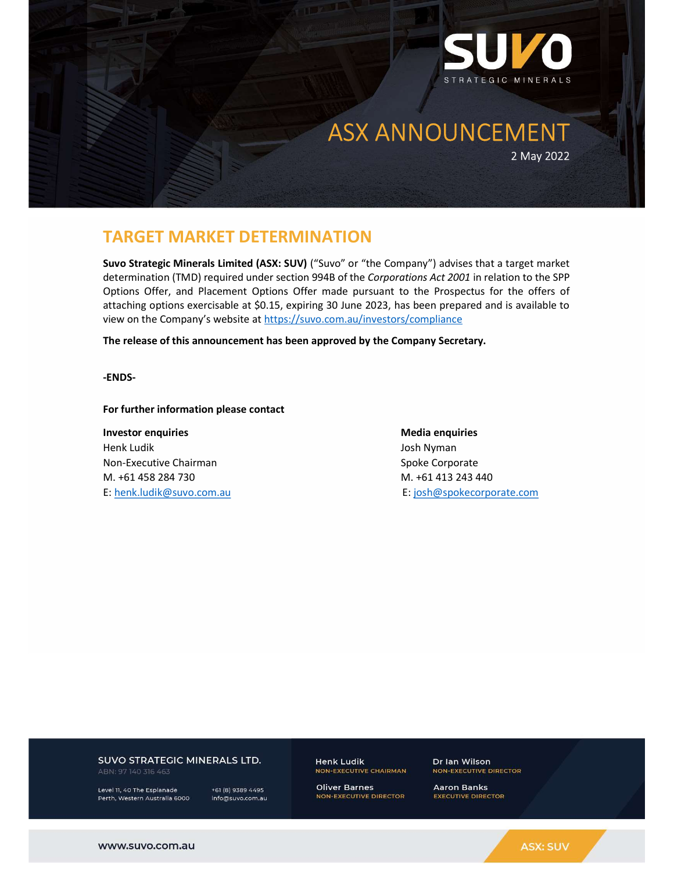

# TARGET MARKET DETERMINATION

Suvo Strategic Minerals Limited (ASX: SUV) ("Suvo" or "the Company") advises that a target market determination (TMD) required under section 994B of the Corporations Act 2001 in relation to the SPP Options Offer, and Placement Options Offer made pursuant to the Prospectus for the offers of attaching options exercisable at \$0.15, expiring 30 June 2023, has been prepared and is available to view on the Company's website at https://suvo.com.au/investors/compliance

The release of this announcement has been approved by the Company Secretary.

-ENDS-

For further information please contact

**Investor enquiries and all and all and all and all and all and all and all and all and all and all and all and a** Henk Ludik Josh Nyman Non-Executive Chairman Spoke Corporate M. +61 458 284 730 M. +61 413 243 440 E: henk.ludik@suvo.com.au E: josh@spokecorporate.com

## SUVO STRATEGIC MINERALS LTD.

ABN: 97 140 316 463

Level 11, 40 The Esplanade Perth, Western Australia 6000

+61 (8) 9389 4495 info@suvo.com.au **Henk Ludik** NON-EXECUTIVE CHAIRMAN

**Oliver Barnes NON-EXECUTIVE DIRECTOR**  Dr Ian Wilson **NON-EXECUTIVE DIRECTOR** 

**Aaron Banks EXECUTIVE DIRECTOR**